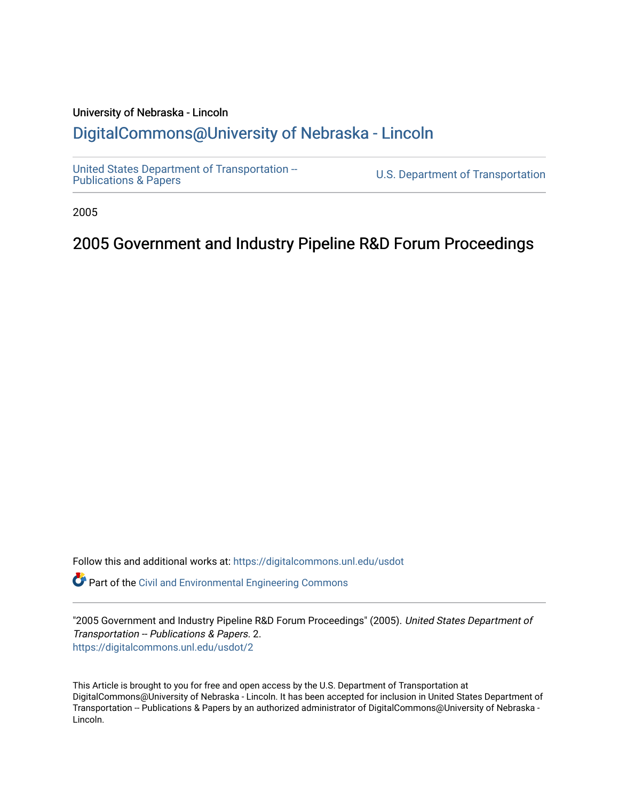#### University of Nebraska - Lincoln [DigitalCommons@University of Nebraska - Lincoln](https://digitalcommons.unl.edu/)

[United States Department of Transportation --](https://digitalcommons.unl.edu/usdot)<br>Publications & Papers

U.S. Department of Transportation

2005

### 2005 Government and Industry Pipeline R&D Forum Proceedings

Follow this and additional works at: [https://digitalcommons.unl.edu/usdot](https://digitalcommons.unl.edu/usdot?utm_source=digitalcommons.unl.edu%2Fusdot%2F2&utm_medium=PDF&utm_campaign=PDFCoverPages) 

Part of the [Civil and Environmental Engineering Commons](http://network.bepress.com/hgg/discipline/251?utm_source=digitalcommons.unl.edu%2Fusdot%2F2&utm_medium=PDF&utm_campaign=PDFCoverPages)

"2005 Government and Industry Pipeline R&D Forum Proceedings" (2005). United States Department of Transportation -- Publications & Papers. 2. [https://digitalcommons.unl.edu/usdot/2](https://digitalcommons.unl.edu/usdot/2?utm_source=digitalcommons.unl.edu%2Fusdot%2F2&utm_medium=PDF&utm_campaign=PDFCoverPages) 

This Article is brought to you for free and open access by the U.S. Department of Transportation at DigitalCommons@University of Nebraska - Lincoln. It has been accepted for inclusion in United States Department of Transportation -- Publications & Papers by an authorized administrator of DigitalCommons@University of Nebraska - Lincoln.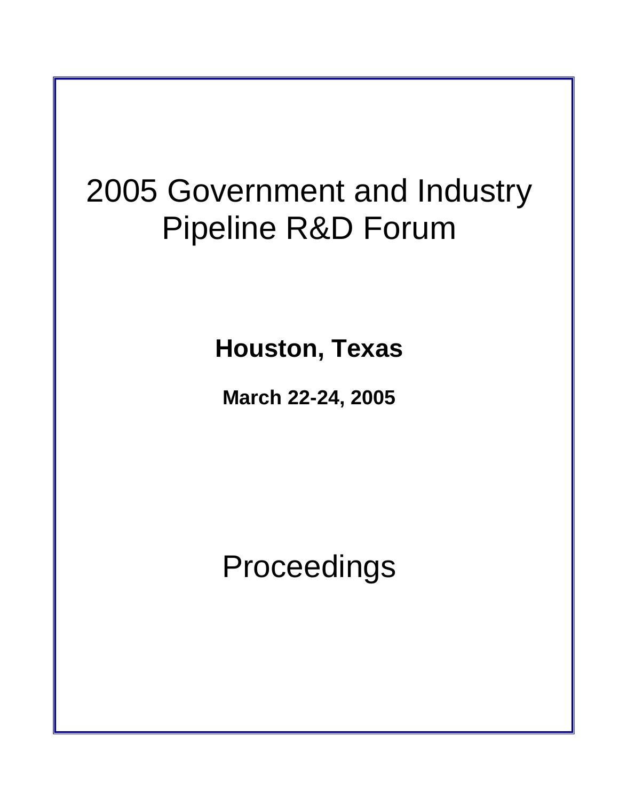# 2005 Government and Industry Pipeline R&D Forum

**Houston, Texas** 

**March 22-24, 2005**

Proceedings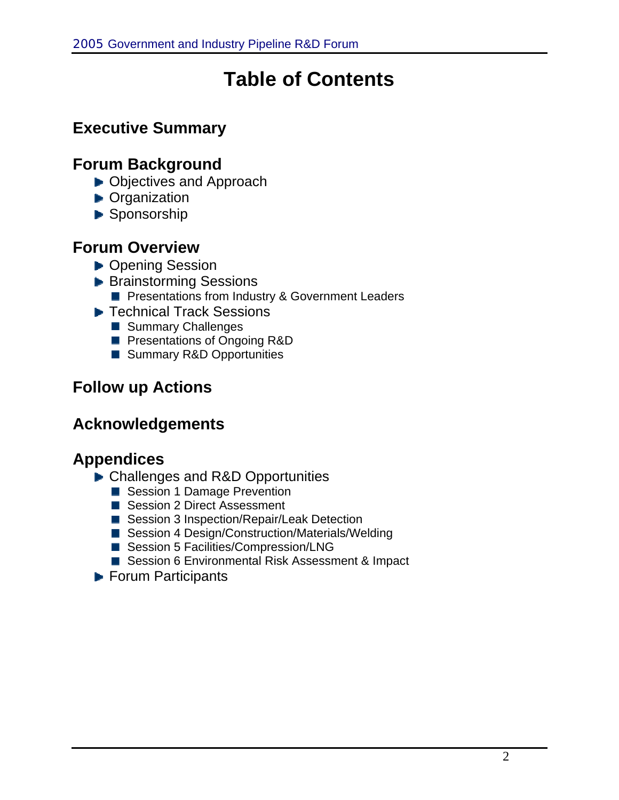# **Table of Contents**

# **Executive Summary**

## **Forum Background**

- ▶ Objectives and Approach
- **D** Organization
- Sponsorship

### **Forum Overview**

- ▶ Opening Session
- **Brainstorming Sessions Per Presentations from Industry & Government Leaders**
- ▶ Technical Track Sessions
	- Summary Challenges
	- **Presentations of Ongoing R&D**
	- Summary R&D Opportunities

## **Follow up Actions**

### **Acknowledgements**

## **Appendices**

- ▶ Challenges and R&D Opportunities
	- Session 1 Damage Prevention
	- Session 2 Direct Assessment
	- Session 3 Inspection/Repair/Leak Detection
	- Session 4 Design/Construction/Materials/Welding
	- Session 5 Facilities/Compression/LNG
	- Session 6 Environmental Risk Assessment & Impact
- ▶ Forum Participants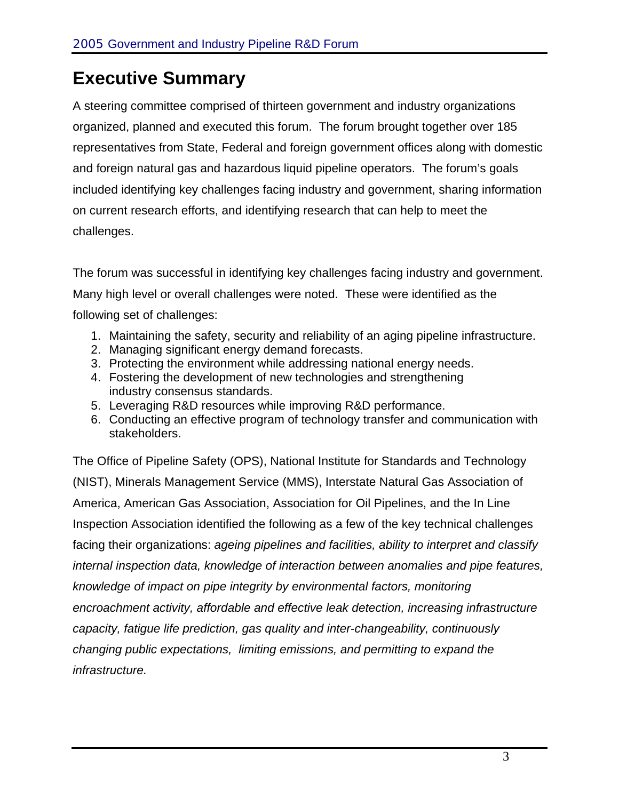# **Executive Summary**

A steering committee comprised of thirteen government and industry organizations organized, planned and executed this forum. The forum brought together over 185 representatives from State, Federal and foreign government offices along with domestic and foreign natural gas and hazardous liquid pipeline operators. The forum's goals included identifying key challenges facing industry and government, sharing information on current research efforts, and identifying research that can help to meet the challenges.

The forum was successful in identifying key challenges facing industry and government. Many high level or overall challenges were noted. These were identified as the following set of challenges:

- 1. Maintaining the safety, security and reliability of an aging pipeline infrastructure.
- 2. Managing significant energy demand forecasts.
- 3. Protecting the environment while addressing national energy needs.
- 4. Fostering the development of new technologies and strengthening industry consensus standards.
- 5. Leveraging R&D resources while improving R&D performance.
- 6. Conducting an effective program of technology transfer and communication with stakeholders.

The Office of Pipeline Safety (OPS), National Institute for Standards and Technology (NIST), Minerals Management Service (MMS), Interstate Natural Gas Association of America, American Gas Association, Association for Oil Pipelines, and the In Line Inspection Association identified the following as a few of the key technical challenges facing their organizations: *ageing pipelines and facilities, ability to interpret and classify internal inspection data, knowledge of interaction between anomalies and pipe features, knowledge of impact on pipe integrity by environmental factors, monitoring encroachment activity, affordable and effective leak detection, increasing infrastructure capacity, fatigue life prediction, gas quality and inter-changeability, continuously changing public expectations, limiting emissions, and permitting to expand the infrastructure.*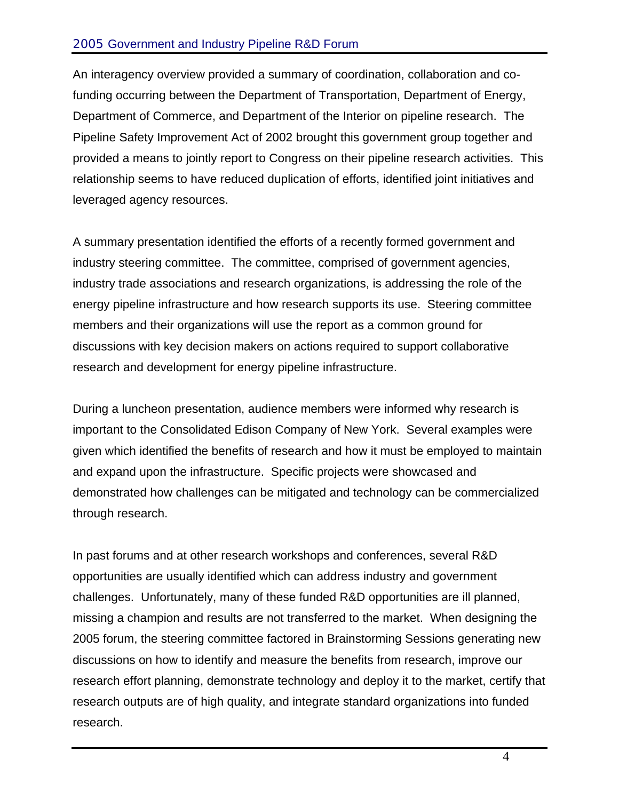#### 2005 Government and Industry Pipeline R&D Forum

An interagency overview provided a summary of coordination, collaboration and cofunding occurring between the Department of Transportation, Department of Energy, Department of Commerce, and Department of the Interior on pipeline research. The Pipeline Safety Improvement Act of 2002 brought this government group together and provided a means to jointly report to Congress on their pipeline research activities. This relationship seems to have reduced duplication of efforts, identified joint initiatives and leveraged agency resources.

A summary presentation identified the efforts of a recently formed government and industry steering committee. The committee, comprised of government agencies, industry trade associations and research organizations, is addressing the role of the energy pipeline infrastructure and how research supports its use. Steering committee members and their organizations will use the report as a common ground for discussions with key decision makers on actions required to support collaborative research and development for energy pipeline infrastructure.

During a luncheon presentation, audience members were informed why research is important to the Consolidated Edison Company of New York. Several examples were given which identified the benefits of research and how it must be employed to maintain and expand upon the infrastructure. Specific projects were showcased and demonstrated how challenges can be mitigated and technology can be commercialized through research.

In past forums and at other research workshops and conferences, several R&D opportunities are usually identified which can address industry and government challenges. Unfortunately, many of these funded R&D opportunities are ill planned, missing a champion and results are not transferred to the market. When designing the 2005 forum, the steering committee factored in Brainstorming Sessions generating new discussions on how to identify and measure the benefits from research, improve our research effort planning, demonstrate technology and deploy it to the market, certify that research outputs are of high quality, and integrate standard organizations into funded research.

4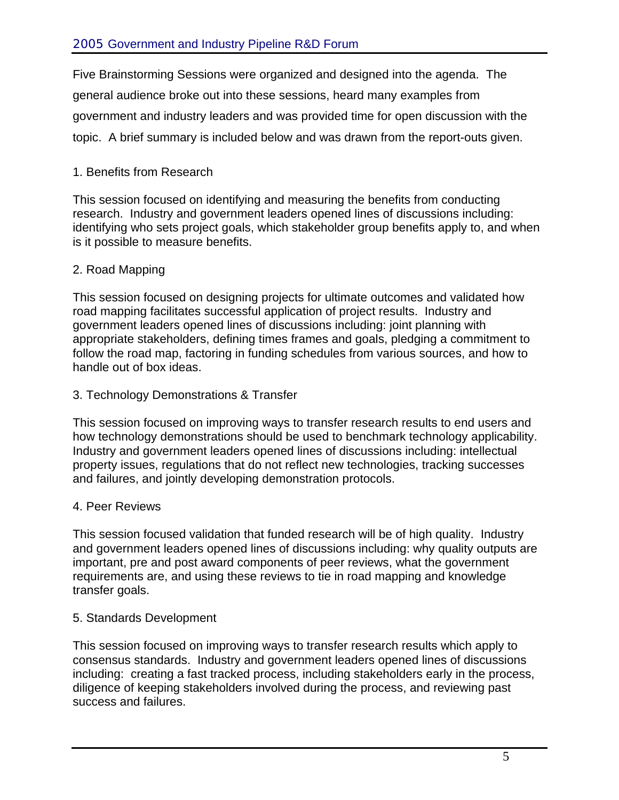Five Brainstorming Sessions were organized and designed into the agenda. The general audience broke out into these sessions, heard many examples from government and industry leaders and was provided time for open discussion with the topic. A brief summary is included below and was drawn from the report-outs given.

#### 1. Benefits from Research

This session focused on identifying and measuring the benefits from conducting research. Industry and government leaders opened lines of discussions including: identifying who sets project goals, which stakeholder group benefits apply to, and when is it possible to measure benefits.

#### 2. Road Mapping

This session focused on designing projects for ultimate outcomes and validated how road mapping facilitates successful application of project results. Industry and government leaders opened lines of discussions including: joint planning with appropriate stakeholders, defining times frames and goals, pledging a commitment to follow the road map, factoring in funding schedules from various sources, and how to handle out of box ideas.

#### 3. Technology Demonstrations & Transfer

This session focused on improving ways to transfer research results to end users and how technology demonstrations should be used to benchmark technology applicability. Industry and government leaders opened lines of discussions including: intellectual property issues, regulations that do not reflect new technologies, tracking successes and failures, and jointly developing demonstration protocols.

#### 4. Peer Reviews

This session focused validation that funded research will be of high quality. Industry and government leaders opened lines of discussions including: why quality outputs are important, pre and post award components of peer reviews, what the government requirements are, and using these reviews to tie in road mapping and knowledge transfer goals.

#### 5. Standards Development

This session focused on improving ways to transfer research results which apply to consensus standards. Industry and government leaders opened lines of discussions including: creating a fast tracked process, including stakeholders early in the process, diligence of keeping stakeholders involved during the process, and reviewing past success and failures.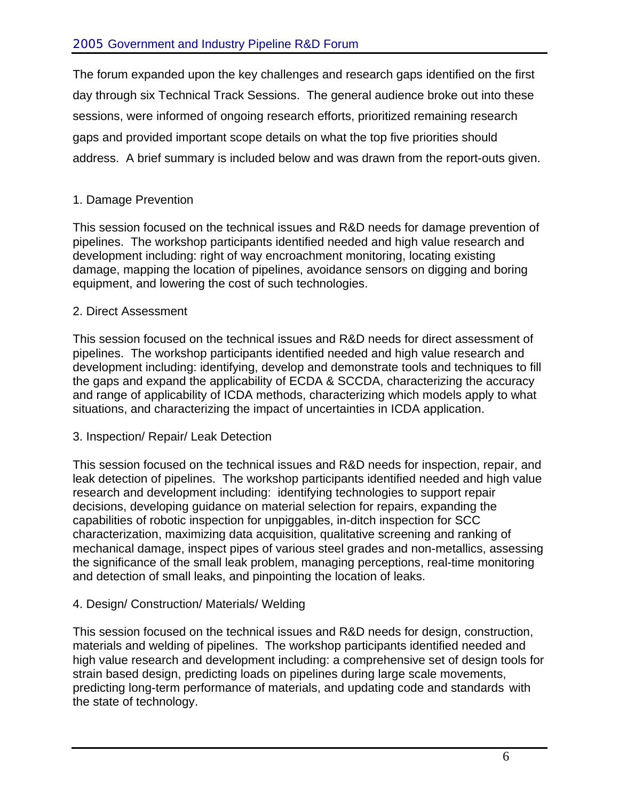The forum expanded upon the key challenges and research gaps identified on the first day through six Technical Track Sessions. The general audience broke out into these sessions, were informed of ongoing research efforts, prioritized remaining research gaps and provided important scope details on what the top five priorities should address. A brief summary is included below and was drawn from the report-outs given.

#### 1. Damage Prevention

This session focused on the technical issues and R&D needs for damage prevention of pipelines. The workshop participants identified needed and high value research and development including: right of way encroachment monitoring, locating existing damage, mapping the location of pipelines, avoidance sensors on digging and boring equipment, and lowering the cost of such technologies.

#### 2. Direct Assessment

This session focused on the technical issues and R&D needs for direct assessment of pipelines. The workshop participants identified needed and high value research and development including: identifying, develop and demonstrate tools and techniques to fill the gaps and expand the applicability of ECDA & SCCDA, characterizing the accuracy and range of applicability of ICDA methods, characterizing which models apply to what situations, and characterizing the impact of uncertainties in ICDA application.

#### 3. Inspection/ Repair/ Leak Detection

This session focused on the technical issues and R&D needs for inspection, repair, and leak detection of pipelines. The workshop participants identified needed and high value research and development including: identifying technologies to support repair decisions, developing guidance on material selection for repairs, expanding the capabilities of robotic inspection for unpiggables, in-ditch inspection for SCC characterization, maximizing data acquisition, qualitative screening and ranking of mechanical damage, inspect pipes of various steel grades and non-metallics, assessing the significance of the small leak problem, managing perceptions, real-time monitoring and detection of small leaks, and pinpointing the location of leaks.

#### 4. Design/ Construction/ Materials/ Welding

This session focused on the technical issues and R&D needs for design, construction, materials and welding of pipelines. The workshop participants identified needed and high value research and development including: a comprehensive set of design tools for strain based design, predicting loads on pipelines during large scale movements, predicting long-term performance of materials, and updating code and standards with the state of technology.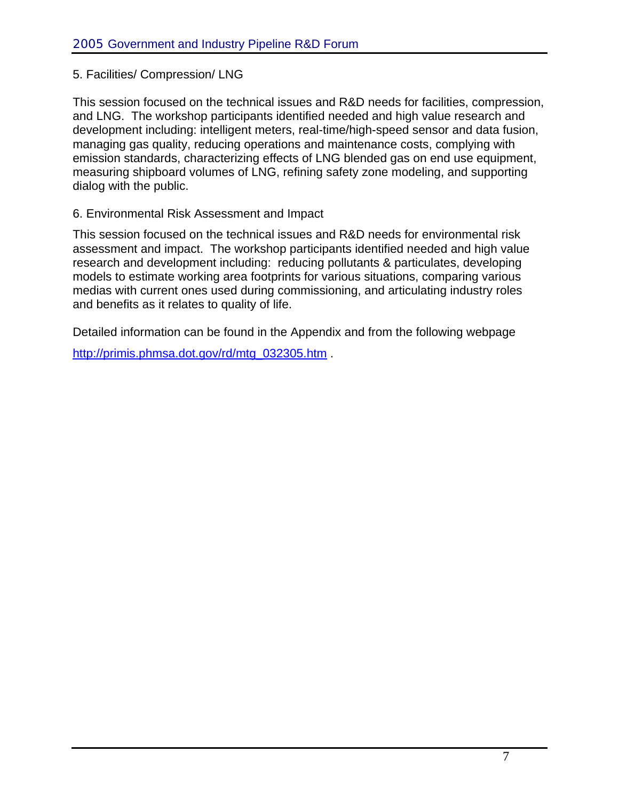#### 5. Facilities/ Compression/ LNG

This session focused on the technical issues and R&D needs for facilities, compression, and LNG. The workshop participants identified needed and high value research and development including: intelligent meters, real-time/high-speed sensor and data fusion, managing gas quality, reducing operations and maintenance costs, complying with emission standards, characterizing effects of LNG blended gas on end use equipment, measuring shipboard volumes of LNG, refining safety zone modeling, and supporting dialog with the public.

#### 6. Environmental Risk Assessment and Impact

This session focused on the technical issues and R&D needs for environmental risk assessment and impact. The workshop participants identified needed and high value research and development including: reducing pollutants & particulates, developing models to estimate working area footprints for various situations, comparing various medias with current ones used during commissioning, and articulating industry roles and benefits as it relates to quality of life.

Detailed information can be found in the Appendix and from the following webpage [http://primis.phmsa.dot.gov/rd/mtg\\_032305.htm](http://primis.phmsa.dot.gov/rd/mtg_032305.htm) .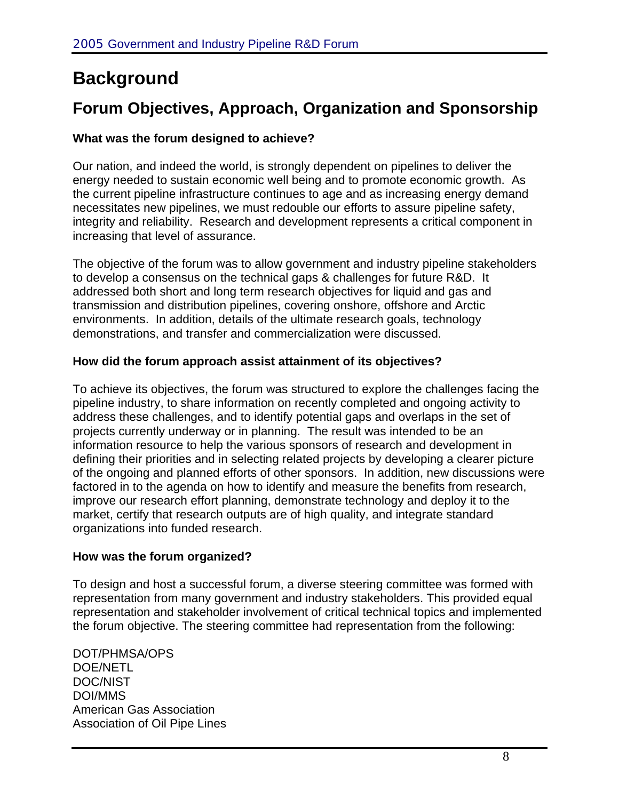# **Background**

# **Forum Objectives, Approach, Organization and Sponsorship**

#### **What was the forum designed to achieve?**

Our nation, and indeed the world, is strongly dependent on pipelines to deliver the energy needed to sustain economic well being and to promote economic growth. As the current pipeline infrastructure continues to age and as increasing energy demand necessitates new pipelines, we must redouble our efforts to assure pipeline safety, integrity and reliability. Research and development represents a critical component in increasing that level of assurance.

The objective of the forum was to allow government and industry pipeline stakeholders to develop a consensus on the technical gaps & challenges for future R&D. It addressed both short and long term research objectives for liquid and gas and transmission and distribution pipelines, covering onshore, offshore and Arctic environments. In addition, details of the ultimate research goals, technology demonstrations, and transfer and commercialization were discussed.

#### **How did the forum approach assist attainment of its objectives?**

To achieve its objectives, the forum was structured to explore the challenges facing the pipeline industry, to share information on recently completed and ongoing activity to address these challenges, and to identify potential gaps and overlaps in the set of projects currently underway or in planning. The result was intended to be an information resource to help the various sponsors of research and development in defining their priorities and in selecting related projects by developing a clearer picture of the ongoing and planned efforts of other sponsors. In addition, new discussions were factored in to the agenda on how to identify and measure the benefits from research, improve our research effort planning, demonstrate technology and deploy it to the market, certify that research outputs are of high quality, and integrate standard organizations into funded research.

#### **How was the forum organized?**

To design and host a successful forum, a diverse steering committee was formed with representation from many government and industry stakeholders. This provided equal representation and stakeholder involvement of critical technical topics and implemented the forum objective. The steering committee had representation from the following:

DOT/PHMSA/OPS DOE/NETL DOC/NIST DOI/MMS American Gas Association Association of Oil Pipe Lines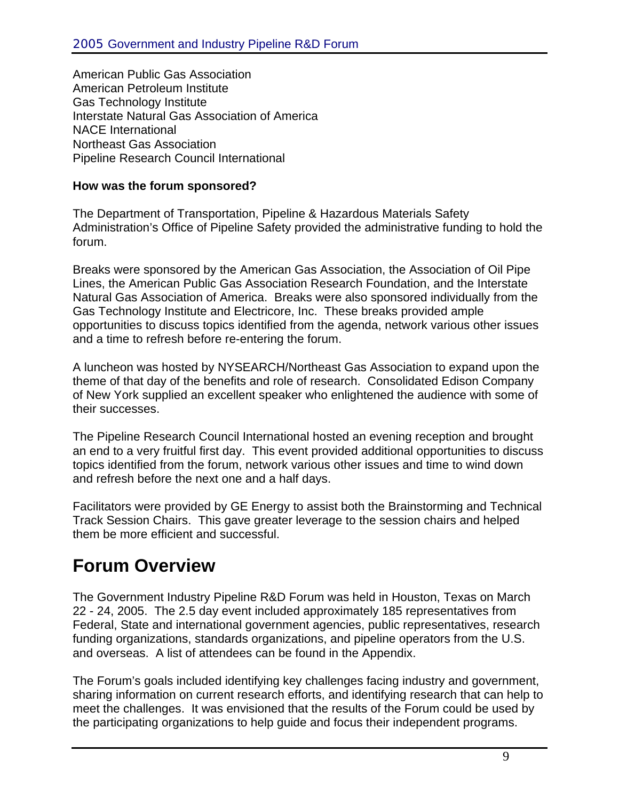American Public Gas Association American Petroleum Institute Gas Technology Institute Interstate Natural Gas Association of America NACE International Northeast Gas Association Pipeline Research Council International

#### **How was the forum sponsored?**

The Department of Transportation, Pipeline & Hazardous Materials Safety Administration's Office of Pipeline Safety provided the administrative funding to hold the forum.

Breaks were sponsored by the American Gas Association, the Association of Oil Pipe Lines, the American Public Gas Association Research Foundation, and the Interstate Natural Gas Association of America. Breaks were also sponsored individually from the Gas Technology Institute and Electricore, Inc. These breaks provided ample opportunities to discuss topics identified from the agenda, network various other issues and a time to refresh before re-entering the forum.

A luncheon was hosted by NYSEARCH/Northeast Gas Association to expand upon the theme of that day of the benefits and role of research. Consolidated Edison Company of New York supplied an excellent speaker who enlightened the audience with some of their successes.

The Pipeline Research Council International hosted an evening reception and brought an end to a very fruitful first day. This event provided additional opportunities to discuss topics identified from the forum, network various other issues and time to wind down and refresh before the next one and a half days.

Facilitators were provided by GE Energy to assist both the Brainstorming and Technical Track Session Chairs. This gave greater leverage to the session chairs and helped them be more efficient and successful.

# **Forum Overview**

The Government Industry Pipeline R&D Forum was held in Houston, Texas on March 22 - 24, 2005. The 2.5 day event included approximately 185 representatives from Federal, State and international government agencies, public representatives, research funding organizations, standards organizations, and pipeline operators from the U.S. and overseas. A list of attendees can be found in the Appendix.

The Forum's goals included identifying key challenges facing industry and government, sharing information on current research efforts, and identifying research that can help to meet the challenges. It was envisioned that the results of the Forum could be used by the participating organizations to help guide and focus their independent programs.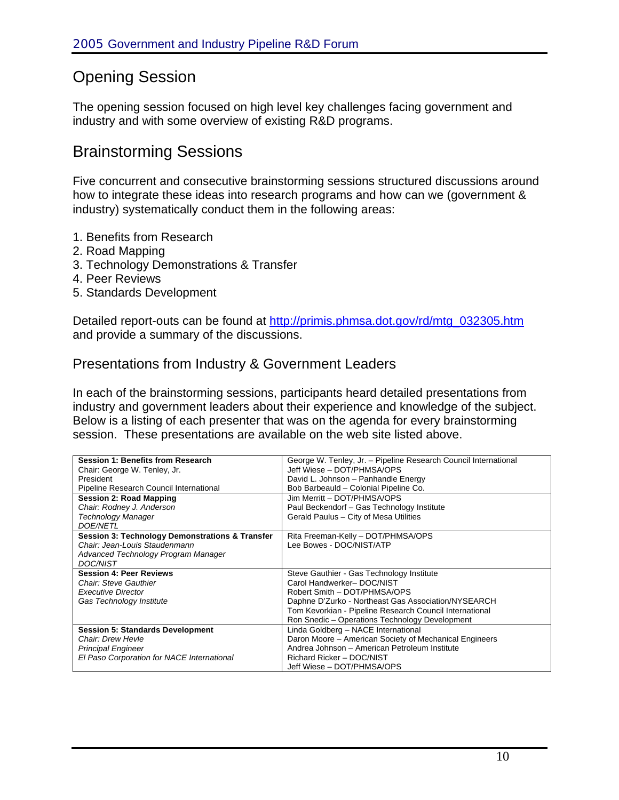## Opening Session

The opening session focused on high level key challenges facing government and industry and with some overview of existing R&D programs.

### Brainstorming Sessions

Five concurrent and consecutive brainstorming sessions structured discussions around how to integrate these ideas into research programs and how can we (government & industry) systematically conduct them in the following areas:

- 1. Benefits from Research
- 2. Road Mapping
- 3. Technology Demonstrations & Transfer
- 4. Peer Reviews
- 5. Standards Development

Detailed report-outs can be found at [http://primis.phmsa.dot.gov/rd/mtg\\_032305.htm](http://primis.phmsa.dot.gov/rd/mtg_032305.htm) and provide a summary of the discussions.

#### Presentations from Industry & Government Leaders

In each of the brainstorming sessions, participants heard detailed presentations from industry and government leaders about their experience and knowledge of the subject. Below is a listing of each presenter that was on the agenda for every brainstorming session. These presentations are available on the web site listed above.

| <b>Session 1: Benefits from Research</b>        | George W. Tenley, Jr. - Pipeline Research Council International |
|-------------------------------------------------|-----------------------------------------------------------------|
| Chair: George W. Tenley, Jr.                    | Jeff Wiese - DOT/PHMSA/OPS                                      |
| President                                       | David L. Johnson - Panhandle Energy                             |
| Pipeline Research Council International         | Bob Barbeauld - Colonial Pipeline Co.                           |
| <b>Session 2: Road Mapping</b>                  | Jim Merritt - DOT/PHMSA/OPS                                     |
| Chair: Rodney J. Anderson                       | Paul Beckendorf - Gas Technology Institute                      |
| <b>Technology Manager</b>                       | Gerald Paulus - City of Mesa Utilities                          |
| <b>DOE/NETL</b>                                 |                                                                 |
| Session 3: Technology Demonstrations & Transfer | Rita Freeman-Kelly - DOT/PHMSA/OPS                              |
| Chair: Jean-Louis Staudenmann                   | Lee Bowes - DOC/NIST/ATP                                        |
| Advanced Technology Program Manager             |                                                                 |
| <b>DOC/NIST</b>                                 |                                                                 |
| <b>Session 4: Peer Reviews</b>                  | Steve Gauthier - Gas Technology Institute                       |
| Chair: Steve Gauthier                           | Carol Handwerker-DOC/NIST                                       |
| <b>Executive Director</b>                       | Robert Smith - DOT/PHMSA/OPS                                    |
| Gas Technology Institute                        | Daphne D'Zurko - Northeast Gas Association/NYSEARCH             |
|                                                 | Tom Kevorkian - Pipeline Research Council International         |
|                                                 | Ron Snedic - Operations Technology Development                  |
| <b>Session 5: Standards Development</b>         | Linda Goldberg - NACE International                             |
| Chair: Drew Hevle                               | Daron Moore - American Society of Mechanical Engineers          |
| <b>Principal Engineer</b>                       | Andrea Johnson - American Petroleum Institute                   |
| El Paso Corporation for NACE International      | Richard Ricker - DOC/NIST                                       |
|                                                 | Jeff Wiese - DOT/PHMSA/OPS                                      |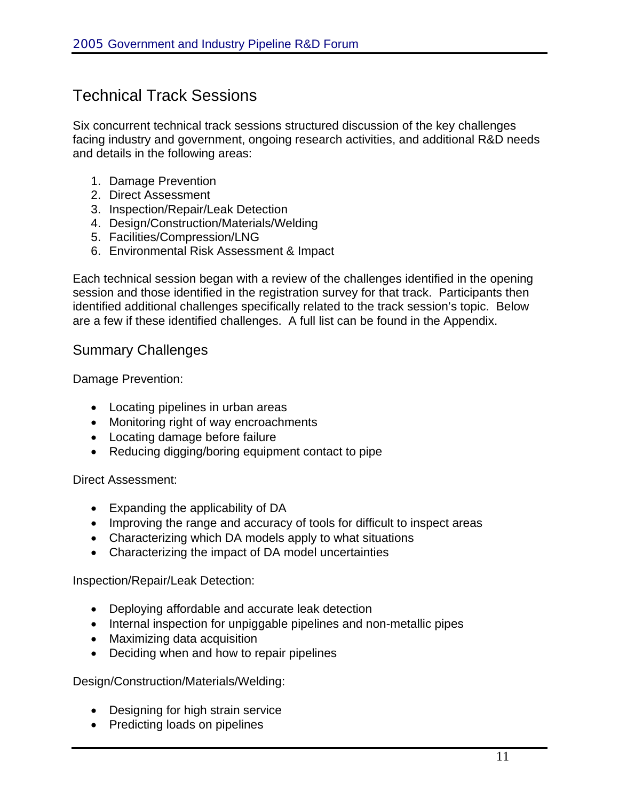## Technical Track Sessions

Six concurrent technical track sessions structured discussion of the key challenges facing industry and government, ongoing research activities, and additional R&D needs and details in the following areas:

- 1. Damage Prevention
- 2. Direct Assessment
- 3. Inspection/Repair/Leak Detection
- 4. Design/Construction/Materials/Welding
- 5. Facilities/Compression/LNG
- 6. Environmental Risk Assessment & Impact

Each technical session began with a review of the challenges identified in the opening session and those identified in the registration survey for that track. Participants then identified additional challenges specifically related to the track session's topic. Below are a few if these identified challenges. A full list can be found in the Appendix.

#### Summary Challenges

Damage Prevention:

- Locating pipelines in urban areas
- Monitoring right of way encroachments
- Locating damage before failure
- Reducing digging/boring equipment contact to pipe

Direct Assessment:

- Expanding the applicability of DA
- Improving the range and accuracy of tools for difficult to inspect areas
- Characterizing which DA models apply to what situations
- Characterizing the impact of DA model uncertainties

Inspection/Repair/Leak Detection:

- Deploying affordable and accurate leak detection
- Internal inspection for unpiggable pipelines and non-metallic pipes
- Maximizing data acquisition
- Deciding when and how to repair pipelines

Design/Construction/Materials/Welding:

- Designing for high strain service
- Predicting loads on pipelines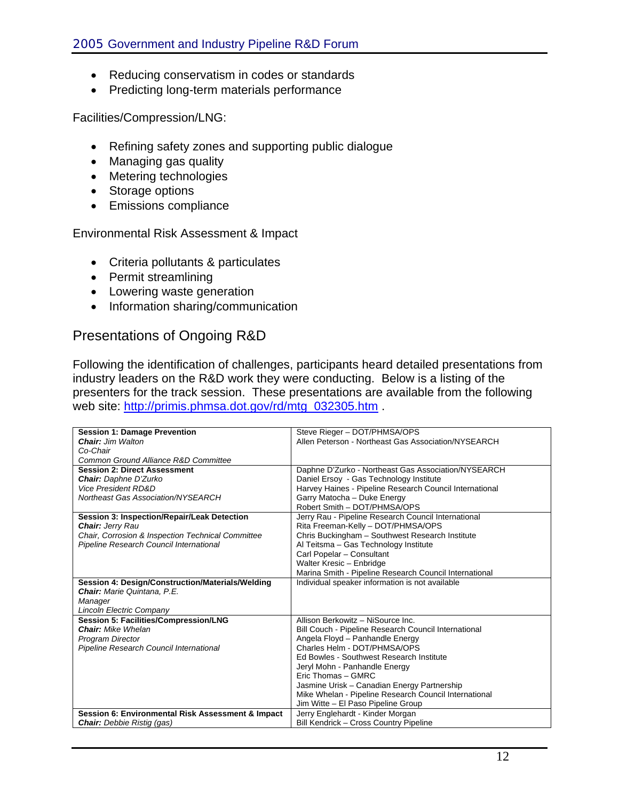- Reducing conservatism in codes or standards
- Predicting long-term materials performance

Facilities/Compression/LNG:

- Refining safety zones and supporting public dialogue
- Managing gas quality
- Metering technologies
- Storage options
- Emissions compliance

Environmental Risk Assessment & Impact

- Criteria pollutants & particulates
- Permit streamlining
- Lowering waste generation
- Information sharing/communication

#### Presentations of Ongoing R&D

Following the identification of challenges, participants heard detailed presentations from industry leaders on the R&D work they were conducting. Below is a listing of the presenters for the track session. These presentations are available from the following web site: [http://primis.phmsa.dot.gov/rd/mtg\\_032305.htm](http://primis.phmsa.dot.gov/rd/mtg_032305.htm) .

| <b>Session 1: Damage Prevention</b>               | Steve Rieger - DOT/PHMSA/OPS                            |
|---------------------------------------------------|---------------------------------------------------------|
| <b>Chair:</b> Jim Walton                          | Allen Peterson - Northeast Gas Association/NYSEARCH     |
| Co-Chair                                          |                                                         |
| Common Ground Alliance R&D Committee              |                                                         |
| <b>Session 2: Direct Assessment</b>               | Daphne D'Zurko - Northeast Gas Association/NYSEARCH     |
| <b>Chair:</b> Daphne D'Zurko                      | Daniel Ersoy - Gas Technology Institute                 |
| <b>Vice President RD&amp;D</b>                    | Harvey Haines - Pipeline Research Council International |
| <b>Northeast Gas Association/NYSEARCH</b>         | Garry Matocha - Duke Energy                             |
|                                                   | Robert Smith - DOT/PHMSA/OPS                            |
| Session 3: Inspection/Repair/Leak Detection       | Jerry Rau - Pipeline Research Council International     |
| <b>Chair: Jerry Rau</b>                           | Rita Freeman-Kelly - DOT/PHMSA/OPS                      |
| Chair, Corrosion & Inspection Technical Committee | Chris Buckingham - Southwest Research Institute         |
| Pipeline Research Council International           | Al Teitsma - Gas Technology Institute                   |
|                                                   | Carl Popelar - Consultant                               |
|                                                   | Walter Kresic - Enbridge                                |
|                                                   | Marina Smith - Pipeline Research Council International  |
| Session 4: Design/Construction/Materials/Welding  | Individual speaker information is not available         |
| <b>Chair:</b> Marie Quintana, P.E.                |                                                         |
| Manager                                           |                                                         |
| <b>Lincoln Electric Company</b>                   |                                                         |
| Session 5: Facilities/Compression/LNG             | Allison Berkowitz - NiSource Inc.                       |
| <b>Chair:</b> Mike Whelan                         | Bill Couch - Pipeline Research Council International    |
| <b>Program Director</b>                           | Angela Floyd - Panhandle Energy                         |
| Pipeline Research Council International           | Charles Helm - DOT/PHMSA/OPS                            |
|                                                   | Ed Bowles - Southwest Research Institute                |
|                                                   | Jeryl Mohn - Panhandle Energy                           |
|                                                   | Eric Thomas - GMRC                                      |
|                                                   | Jasmine Urisk - Canadian Energy Partnership             |
|                                                   | Mike Whelan - Pipeline Research Council International   |
|                                                   | Jim Witte - El Paso Pipeline Group                      |
| Session 6: Environmental Risk Assessment & Impact | Jerry Englehardt - Kinder Morgan                        |
| <b>Chair:</b> Debbie Ristig (gas)                 | Bill Kendrick - Cross Country Pipeline                  |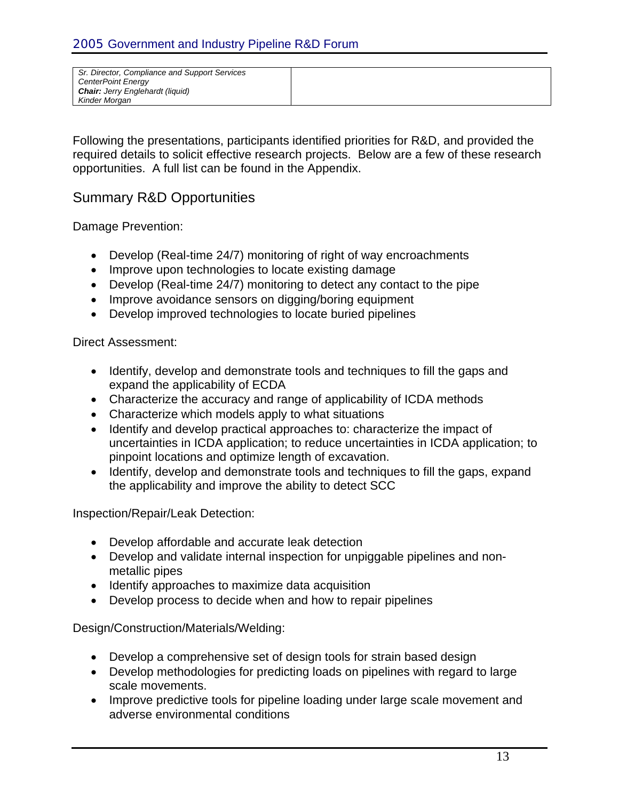| Sr. Director, Compliance and Support Services<br><b>CenterPoint Energy</b><br><b>Chair:</b> Jerry Englehardt (liquid) |  |
|-----------------------------------------------------------------------------------------------------------------------|--|
| Kinder Morgan                                                                                                         |  |
|                                                                                                                       |  |

Following the presentations, participants identified priorities for R&D, and provided the required details to solicit effective research projects. Below are a few of these research opportunities. A full list can be found in the Appendix.

#### Summary R&D Opportunities

Damage Prevention:

- Develop (Real-time 24/7) monitoring of right of way encroachments
- Improve upon technologies to locate existing damage
- Develop (Real-time 24/7) monitoring to detect any contact to the pipe
- Improve avoidance sensors on digging/boring equipment
- Develop improved technologies to locate buried pipelines

Direct Assessment:

- Identify, develop and demonstrate tools and techniques to fill the gaps and expand the applicability of ECDA
- Characterize the accuracy and range of applicability of ICDA methods
- Characterize which models apply to what situations
- Identify and develop practical approaches to: characterize the impact of uncertainties in ICDA application; to reduce uncertainties in ICDA application; to pinpoint locations and optimize length of excavation.
- Identify, develop and demonstrate tools and techniques to fill the gaps, expand the applicability and improve the ability to detect SCC

Inspection/Repair/Leak Detection:

- Develop affordable and accurate leak detection
- Develop and validate internal inspection for unpiggable pipelines and nonmetallic pipes
- Identify approaches to maximize data acquisition
- Develop process to decide when and how to repair pipelines

Design/Construction/Materials/Welding:

- Develop a comprehensive set of design tools for strain based design
- Develop methodologies for predicting loads on pipelines with regard to large scale movements.
- Improve predictive tools for pipeline loading under large scale movement and adverse environmental conditions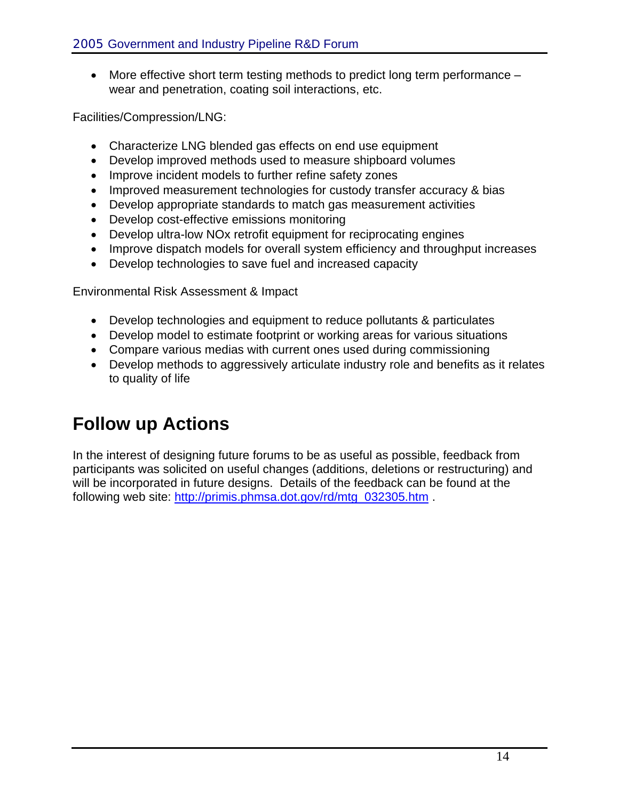• More effective short term testing methods to predict long term performance – wear and penetration, coating soil interactions, etc.

Facilities/Compression/LNG:

- Characterize LNG blended gas effects on end use equipment
- Develop improved methods used to measure shipboard volumes
- Improve incident models to further refine safety zones
- Improved measurement technologies for custody transfer accuracy & bias
- Develop appropriate standards to match gas measurement activities
- Develop cost-effective emissions monitoring
- Develop ultra-low NO<sub>x</sub> retrofit equipment for reciprocating engines
- Improve dispatch models for overall system efficiency and throughput increases
- Develop technologies to save fuel and increased capacity

Environmental Risk Assessment & Impact

- Develop technologies and equipment to reduce pollutants & particulates
- Develop model to estimate footprint or working areas for various situations
- Compare various medias with current ones used during commissioning
- Develop methods to aggressively articulate industry role and benefits as it relates to quality of life

# **Follow up Actions**

In the interest of designing future forums to be as useful as possible, feedback from participants was solicited on useful changes (additions, deletions or restructuring) and will be incorporated in future designs. Details of the feedback can be found at the following web site: [http://primis.phmsa.dot.gov/rd/mtg\\_032305.htm](http://primis.phmsa.dot.gov/rd/mtg_032305.htm) .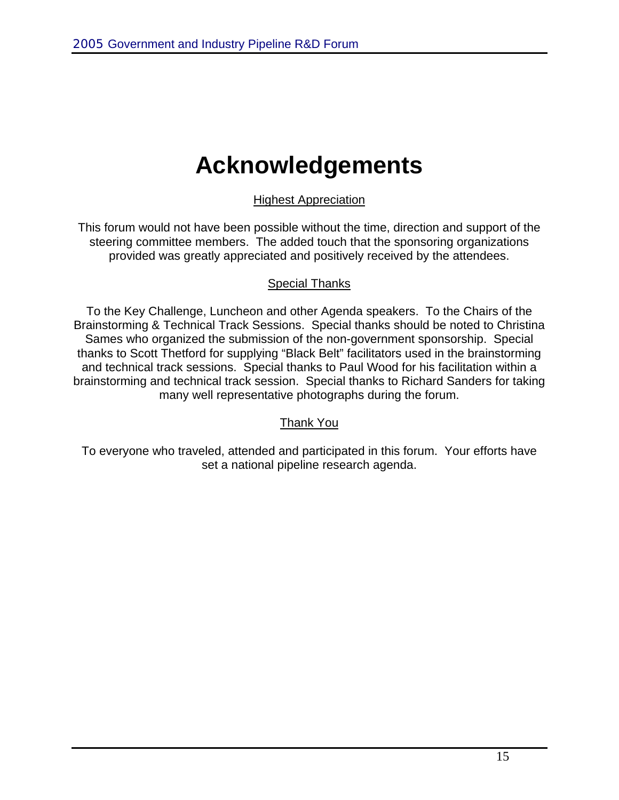# **Acknowledgements**

Highest Appreciation

This forum would not have been possible without the time, direction and support of the steering committee members. The added touch that the sponsoring organizations provided was greatly appreciated and positively received by the attendees.

#### Special Thanks

To the Key Challenge, Luncheon and other Agenda speakers. To the Chairs of the Brainstorming & Technical Track Sessions. Special thanks should be noted to Christina Sames who organized the submission of the non-government sponsorship. Special thanks to Scott Thetford for supplying "Black Belt" facilitators used in the brainstorming and technical track sessions. Special thanks to Paul Wood for his facilitation within a brainstorming and technical track session. Special thanks to Richard Sanders for taking many well representative photographs during the forum.

#### Thank You

To everyone who traveled, attended and participated in this forum. Your efforts have set a national pipeline research agenda.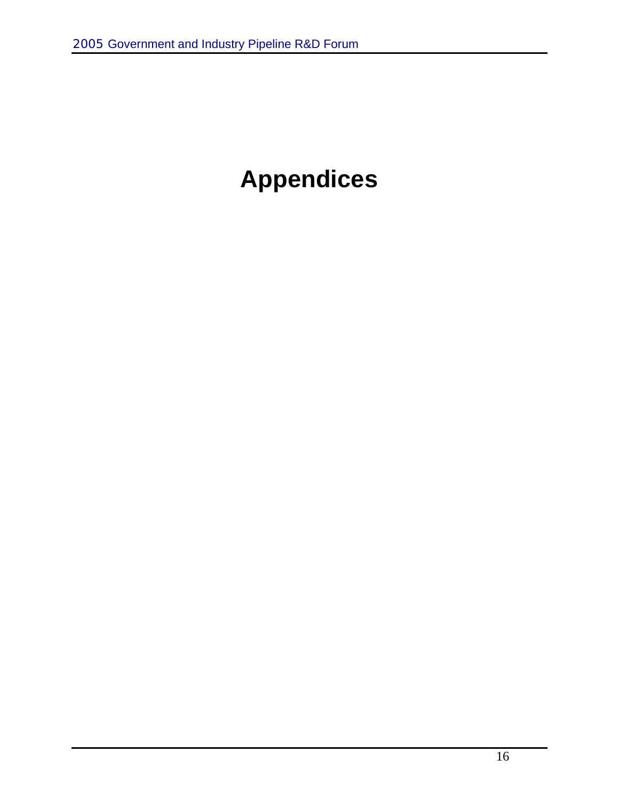# **Appendices**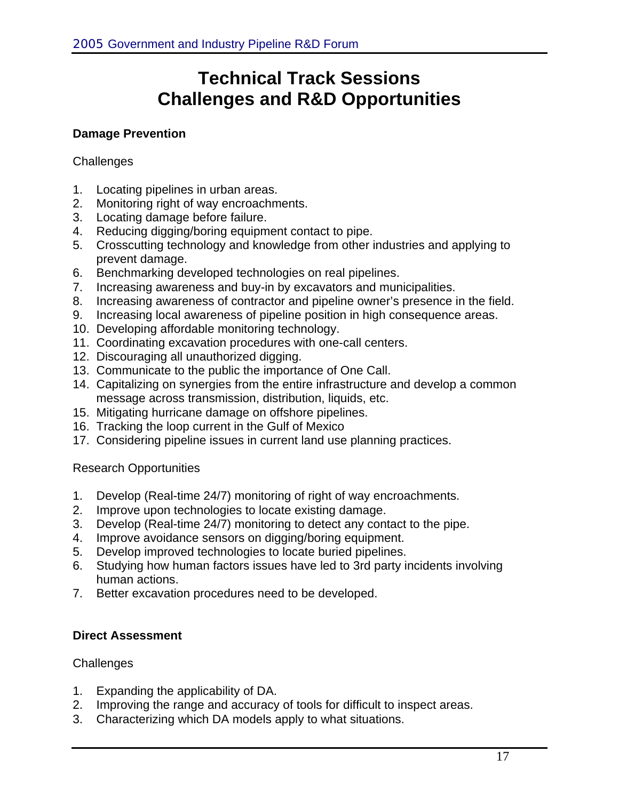# **Technical Track Sessions Challenges and R&D Opportunities**

#### **Damage Prevention**

#### **Challenges**

- 1. Locating pipelines in urban areas.
- 2. Monitoring right of way encroachments.
- 3. Locating damage before failure.
- 4. Reducing digging/boring equipment contact to pipe.
- 5. Crosscutting technology and knowledge from other industries and applying to prevent damage.
- 6. Benchmarking developed technologies on real pipelines.
- 7. Increasing awareness and buy-in by excavators and municipalities.
- 8. Increasing awareness of contractor and pipeline owner's presence in the field.
- 9. Increasing local awareness of pipeline position in high consequence areas.
- 10. Developing affordable monitoring technology.
- 11. Coordinating excavation procedures with one-call centers.
- 12. Discouraging all unauthorized digging.
- 13. Communicate to the public the importance of One Call.
- 14. Capitalizing on synergies from the entire infrastructure and develop a common message across transmission, distribution, liquids, etc.
- 15. Mitigating hurricane damage on offshore pipelines.
- 16. Tracking the loop current in the Gulf of Mexico
- 17. Considering pipeline issues in current land use planning practices.

#### Research Opportunities

- 1. Develop (Real-time 24/7) monitoring of right of way encroachments.
- 2. Improve upon technologies to locate existing damage.
- 3. Develop (Real-time 24/7) monitoring to detect any contact to the pipe.
- 4. Improve avoidance sensors on digging/boring equipment.
- 5. Develop improved technologies to locate buried pipelines.
- 6. Studying how human factors issues have led to 3rd party incidents involving human actions.
- 7. Better excavation procedures need to be developed.

#### **Direct Assessment**

#### **Challenges**

- 1. Expanding the applicability of DA.
- 2. Improving the range and accuracy of tools for difficult to inspect areas.
- 3. Characterizing which DA models apply to what situations.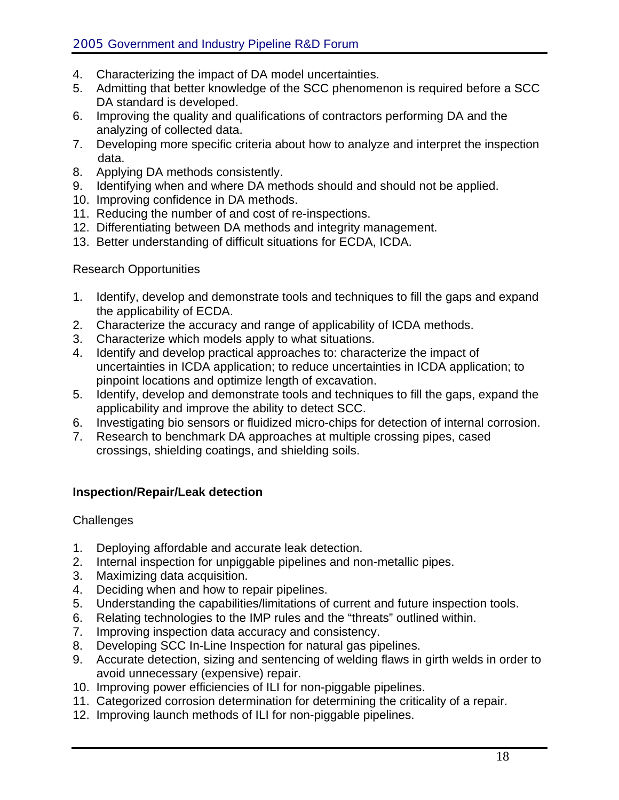- 4. Characterizing the impact of DA model uncertainties.
- 5. Admitting that better knowledge of the SCC phenomenon is required before a SCC DA standard is developed.
- 6. Improving the quality and qualifications of contractors performing DA and the analyzing of collected data.
- 7. Developing more specific criteria about how to analyze and interpret the inspection data.
- 8. Applying DA methods consistently.
- 9. Identifying when and where DA methods should and should not be applied.
- 10. Improving confidence in DA methods.
- 11. Reducing the number of and cost of re-inspections.
- 12. Differentiating between DA methods and integrity management.
- 13. Better understanding of difficult situations for ECDA, ICDA.

#### Research Opportunities

- 1. Identify, develop and demonstrate tools and techniques to fill the gaps and expand the applicability of ECDA.
- 2. Characterize the accuracy and range of applicability of ICDA methods.
- 3. Characterize which models apply to what situations.
- 4. Identify and develop practical approaches to: characterize the impact of uncertainties in ICDA application; to reduce uncertainties in ICDA application; to pinpoint locations and optimize length of excavation.
- 5. Identify, develop and demonstrate tools and techniques to fill the gaps, expand the applicability and improve the ability to detect SCC.
- 6. Investigating bio sensors or fluidized micro-chips for detection of internal corrosion.
- 7. Research to benchmark DA approaches at multiple crossing pipes, cased crossings, shielding coatings, and shielding soils.

#### **Inspection/Repair/Leak detection**

#### **Challenges**

- 1. Deploying affordable and accurate leak detection.
- 2. Internal inspection for unpiggable pipelines and non-metallic pipes.
- 3. Maximizing data acquisition.
- 4. Deciding when and how to repair pipelines.
- 5. Understanding the capabilities/limitations of current and future inspection tools.
- 6. Relating technologies to the IMP rules and the "threats" outlined within.
- 7. Improving inspection data accuracy and consistency.
- 8. Developing SCC In-Line Inspection for natural gas pipelines.
- 9. Accurate detection, sizing and sentencing of welding flaws in girth welds in order to avoid unnecessary (expensive) repair.
- 10. Improving power efficiencies of ILI for non-piggable pipelines.
- 11. Categorized corrosion determination for determining the criticality of a repair.
- 12. Improving launch methods of ILI for non-piggable pipelines.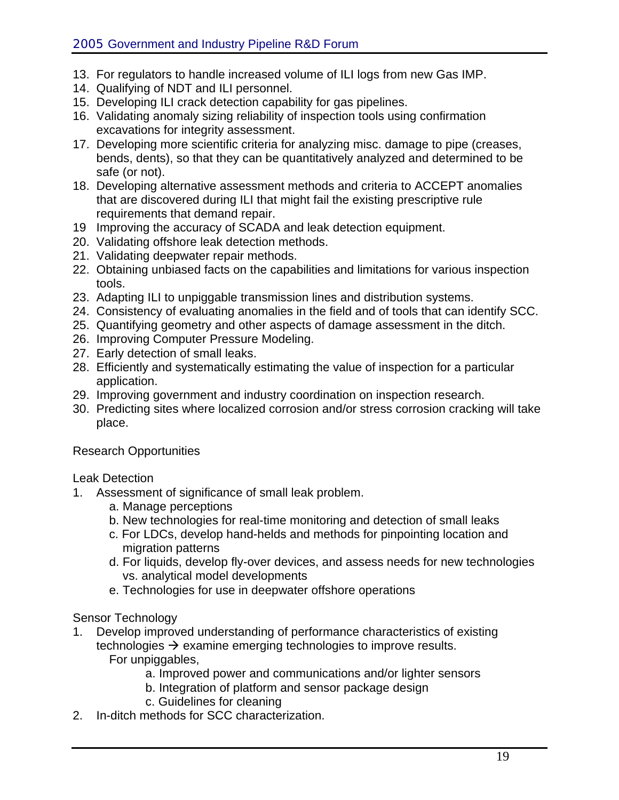- 13. For regulators to handle increased volume of ILI logs from new Gas IMP.
- 14. Qualifying of NDT and ILI personnel.
- 15. Developing ILI crack detection capability for gas pipelines.
- 16. Validating anomaly sizing reliability of inspection tools using confirmation excavations for integrity assessment.
- 17. Developing more scientific criteria for analyzing misc. damage to pipe (creases, bends, dents), so that they can be quantitatively analyzed and determined to be safe (or not).
- 18. Developing alternative assessment methods and criteria to ACCEPT anomalies that are discovered during ILI that might fail the existing prescriptive rule requirements that demand repair.
- 19 Improving the accuracy of SCADA and leak detection equipment.
- 20. Validating offshore leak detection methods.
- 21. Validating deepwater repair methods.
- 22. Obtaining unbiased facts on the capabilities and limitations for various inspection tools.
- 23. Adapting ILI to unpiggable transmission lines and distribution systems.
- 24. Consistency of evaluating anomalies in the field and of tools that can identify SCC.
- 25. Quantifying geometry and other aspects of damage assessment in the ditch.
- 26. Improving Computer Pressure Modeling.
- 27. Early detection of small leaks.
- 28. Efficiently and systematically estimating the value of inspection for a particular application.
- 29. Improving government and industry coordination on inspection research.
- 30. Predicting sites where localized corrosion and/or stress corrosion cracking will take place.

Research Opportunities

Leak Detection

- 1. Assessment of significance of small leak problem.
	- a. Manage perceptions
	- b. New technologies for real-time monitoring and detection of small leaks
	- c. For LDCs, develop hand-helds and methods for pinpointing location and migration patterns
	- d. For liquids, develop fly-over devices, and assess needs for new technologies vs. analytical model developments
	- e. Technologies for use in deepwater offshore operations

Sensor Technology

- 1. Develop improved understanding of performance characteristics of existing technologies  $\rightarrow$  examine emerging technologies to improve results. For unpiggables,
	- a. Improved power and communications and/or lighter sensors
	- b. Integration of platform and sensor package design
	- c. Guidelines for cleaning
- 2. In-ditch methods for SCC characterization.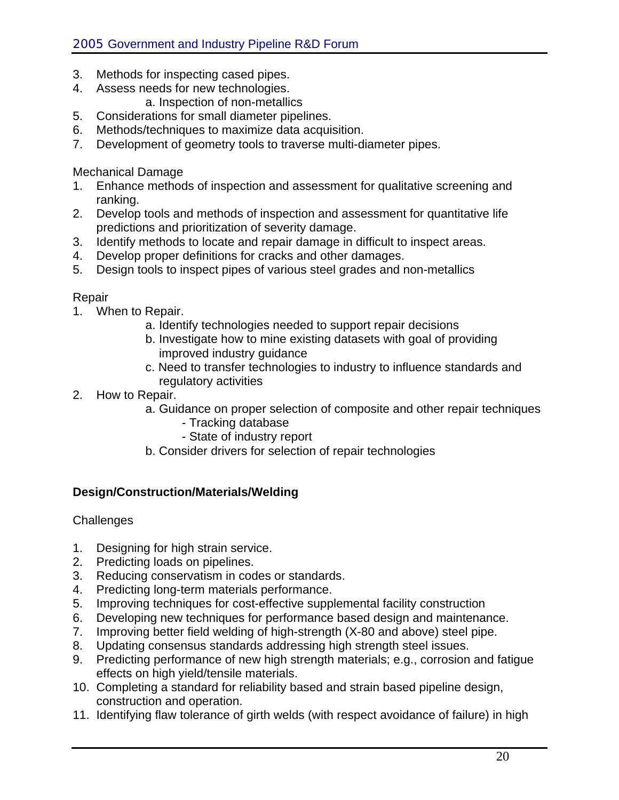- 3. Methods for inspecting cased pipes.
- 4. Assess needs for new technologies.
	- a. Inspection of non-metallics
- 5. Considerations for small diameter pipelines.
- 6. Methods/techniques to maximize data acquisition.
- 7. Development of geometry tools to traverse multi-diameter pipes.

Mechanical Damage

- 1. Enhance methods of inspection and assessment for qualitative screening and ranking.
- 2. Develop tools and methods of inspection and assessment for quantitative life predictions and prioritization of severity damage.
- 3. Identify methods to locate and repair damage in difficult to inspect areas.
- 4. Develop proper definitions for cracks and other damages.
- 5. Design tools to inspect pipes of various steel grades and non-metallics

#### Repair

- 1. When to Repair.
	- a. Identify technologies needed to support repair decisions
	- b. Investigate how to mine existing datasets with goal of providing improved industry guidance
	- c. Need to transfer technologies to industry to influence standards and regulatory activities
- 2. How to Repair.
	- a. Guidance on proper selection of composite and other repair techniques
		- Tracking database
		- State of industry report
	- b. Consider drivers for selection of repair technologies

#### **Design/Construction/Materials/Welding**

#### **Challenges**

- 1. Designing for high strain service.
- 2. Predicting loads on pipelines.
- 3. Reducing conservatism in codes or standards.
- 4. Predicting long-term materials performance.
- 5. Improving techniques for cost-effective supplemental facility construction
- 6. Developing new techniques for performance based design and maintenance.
- 7. Improving better field welding of high-strength (X-80 and above) steel pipe.
- 8. Updating consensus standards addressing high strength steel issues.
- 9. Predicting performance of new high strength materials; e.g., corrosion and fatigue effects on high yield/tensile materials.
- 10. Completing a standard for reliability based and strain based pipeline design, construction and operation.
- 11. Identifying flaw tolerance of girth welds (with respect avoidance of failure) in high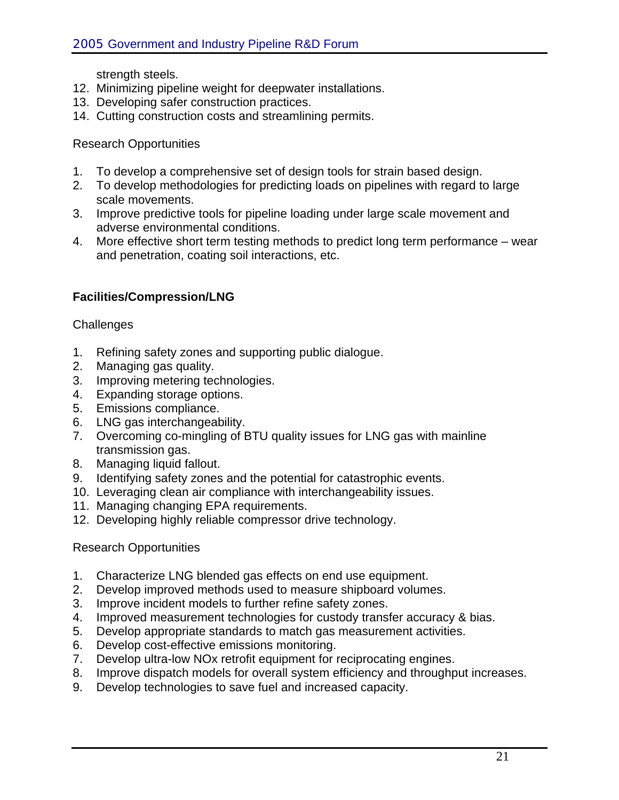strength steels.

- 12. Minimizing pipeline weight for deepwater installations.
- 13. Developing safer construction practices.
- 14. Cutting construction costs and streamlining permits.

#### Research Opportunities

- 1. To develop a comprehensive set of design tools for strain based design.
- 2. To develop methodologies for predicting loads on pipelines with regard to large scale movements.
- 3. Improve predictive tools for pipeline loading under large scale movement and adverse environmental conditions.
- 4. More effective short term testing methods to predict long term performance wear and penetration, coating soil interactions, etc.

#### **Facilities/Compression/LNG**

#### **Challenges**

- 1. Refining safety zones and supporting public dialogue.
- 2. Managing gas quality.
- 3. Improving metering technologies.
- 4. Expanding storage options.
- 5. Emissions compliance.
- 6. LNG gas interchangeability.
- 7. Overcoming co-mingling of BTU quality issues for LNG gas with mainline transmission gas.
- 8. Managing liquid fallout.
- 9. Identifying safety zones and the potential for catastrophic events.
- 10. Leveraging clean air compliance with interchangeability issues.
- 11. Managing changing EPA requirements.
- 12. Developing highly reliable compressor drive technology.

#### Research Opportunities

- 1. Characterize LNG blended gas effects on end use equipment.
- 2. Develop improved methods used to measure shipboard volumes.
- 3. Improve incident models to further refine safety zones.
- 4. Improved measurement technologies for custody transfer accuracy & bias.
- 5. Develop appropriate standards to match gas measurement activities.
- 6. Develop cost-effective emissions monitoring.
- 7. Develop ultra-low NOx retrofit equipment for reciprocating engines.
- 8. Improve dispatch models for overall system efficiency and throughput increases.
- 9. Develop technologies to save fuel and increased capacity.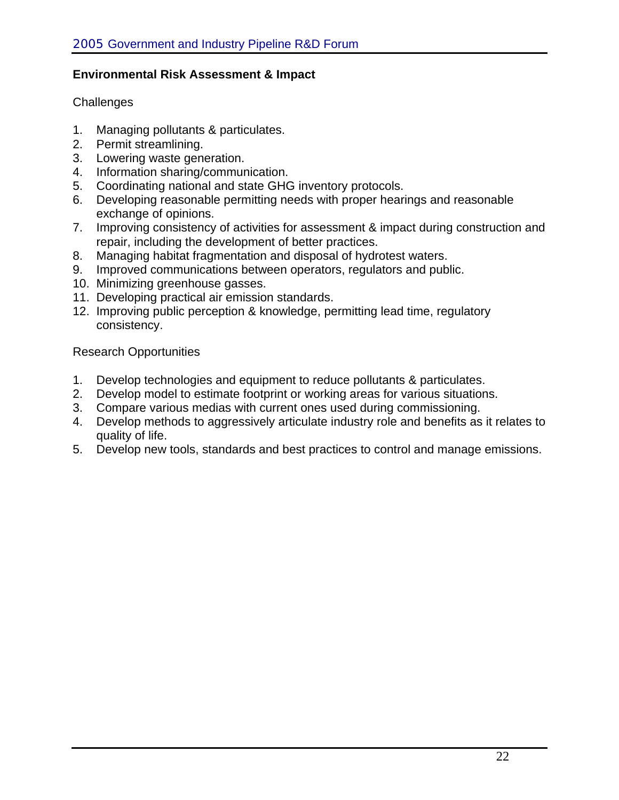#### **Environmental Risk Assessment & Impact**

#### **Challenges**

- 1. Managing pollutants & particulates.
- 2. Permit streamlining.
- 3. Lowering waste generation.
- 4. Information sharing/communication.
- 5. Coordinating national and state GHG inventory protocols.
- 6. Developing reasonable permitting needs with proper hearings and reasonable exchange of opinions.
- 7. Improving consistency of activities for assessment & impact during construction and repair, including the development of better practices.
- 8. Managing habitat fragmentation and disposal of hydrotest waters.
- 9. Improved communications between operators, regulators and public.
- 10. Minimizing greenhouse gasses.
- 11. Developing practical air emission standards.
- 12. Improving public perception & knowledge, permitting lead time, regulatory consistency.

Research Opportunities

- 1. Develop technologies and equipment to reduce pollutants & particulates.
- 2. Develop model to estimate footprint or working areas for various situations.
- 3. Compare various medias with current ones used during commissioning.
- 4. Develop methods to aggressively articulate industry role and benefits as it relates to quality of life.
- 5. Develop new tools, standards and best practices to control and manage emissions.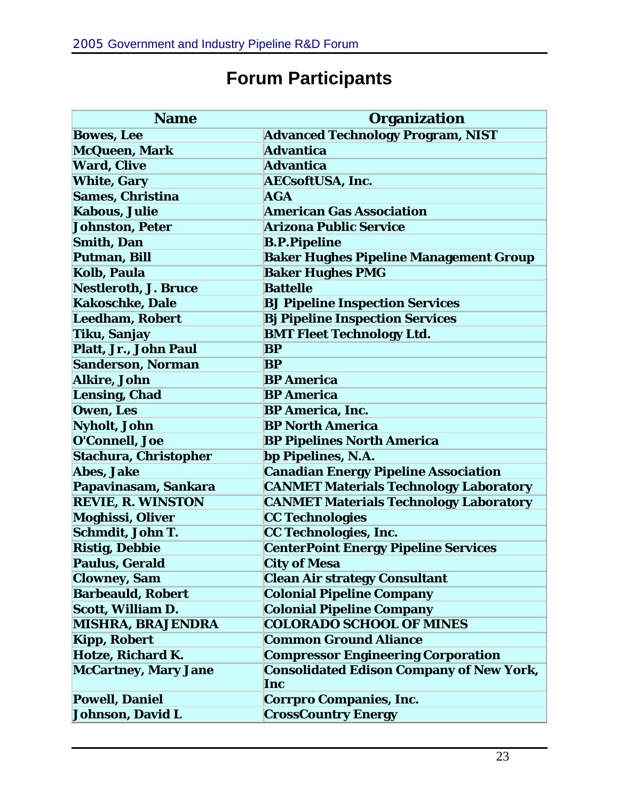| <b>Name</b>                  | <b>Organization</b>                             |
|------------------------------|-------------------------------------------------|
| <b>Bowes, Lee</b>            | <b>Advanced Technology Program, NIST</b>        |
| McQueen, Mark                | Advantica                                       |
| <b>Ward, Clive</b>           | <b>Advantica</b>                                |
| <b>White, Gary</b>           | <b>AECsoftUSA, Inc.</b>                         |
| <b>Sames, Christina</b>      | AGA                                             |
| <b>Kabous, Julie</b>         | <b>American Gas Association</b>                 |
| <b>Johnston, Peter</b>       | <b>Arizona Public Service</b>                   |
| <b>Smith, Dan</b>            | <b>B.P.Pipeline</b>                             |
| Putman, Bill                 | <b>Baker Hughes Pipeline Management Group</b>   |
| <b>Kolb, Paula</b>           | <b>Baker Hughes PMG</b>                         |
| <b>Nestleroth, J. Bruce</b>  | <b>Battelle</b>                                 |
| <b>Kakoschke, Dale</b>       | <b>BJ Pipeline Inspection Services</b>          |
| <b>Leedham, Robert</b>       | <b>Bj Pipeline Inspection Services</b>          |
| Tiku, Sanjay                 | <b>BMT Fleet Technology Ltd.</b>                |
| Platt, Jr., John Paul        | BP                                              |
| <b>Sanderson, Norman</b>     | BP                                              |
| <b>Alkire, John</b>          | <b>BP</b> America                               |
| <b>Lensing, Chad</b>         | <b>BP</b> America                               |
| Owen, Les                    | <b>BP</b> America, Inc.                         |
| Nyholt, John                 | <b>BP North America</b>                         |
| O'Connell, Joe               | <b>BP Pipelines North America</b>               |
| <b>Stachura, Christopher</b> | bp Pipelines, N.A.                              |
| Abes, Jake                   | <b>Canadian Energy Pipeline Association</b>     |
| Papavinasam, Sankara         | <b>CANMET Materials Technology Laboratory</b>   |
| <b>REVIE, R. WINSTON</b>     | <b>CANMET Materials Technology Laboratory</b>   |
| <b>Moghissi, Oliver</b>      | <b>CC Technologies</b>                          |
| Schmdit, John T.             | CC Technologies, Inc.                           |
| <b>Ristig, Debbie</b>        | <b>CenterPoint Energy Pipeline Services</b>     |
| <b>Paulus, Gerald</b>        | <b>City of Mesa</b>                             |
| <b>Clowney, Sam</b>          | <b>Clean Air strategy Consultant</b>            |
| <b>Barbeauld, Robert</b>     | <b>Colonial Pipeline Company</b>                |
| Scott, William D.            | <b>Colonial Pipeline Company</b>                |
| <b>MISHRA, BRAJENDRA</b>     | <b>COLORADO SCHOOL OF MINES</b>                 |
| <b>Kipp, Robert</b>          | <b>Common Ground Aliance</b>                    |
| Hotze, Richard K.            | <b>Compressor Engineering Corporation</b>       |
| <b>McCartney, Mary Jane</b>  | <b>Consolidated Edison Company of New York,</b> |
|                              | Inc                                             |
| <b>Powell, Daniel</b>        | <b>Corrpro Companies, Inc.</b>                  |
| Johnson, David L             | <b>CrossCountry Energy</b>                      |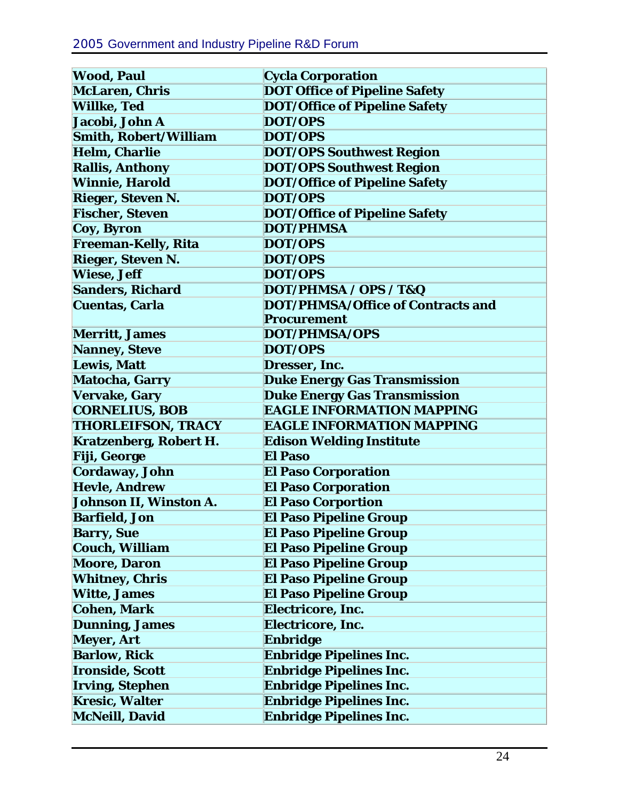| <b>Wood, Paul</b>             | <b>Cycla Corporation</b>                 |
|-------------------------------|------------------------------------------|
| <b>McLaren, Chris</b>         | <b>DOT Office of Pipeline Safety</b>     |
| <b>Willke, Ted</b>            | <b>DOT/Office of Pipeline Safety</b>     |
| Jacobi, John A                | DOT/OPS                                  |
| Smith, Robert/William         | DOT/OPS                                  |
| <b>Helm, Charlie</b>          | <b>DOT/OPS Southwest Region</b>          |
| <b>Rallis, Anthony</b>        | <b>DOT/OPS Southwest Region</b>          |
| <b>Winnie, Harold</b>         | <b>DOT/Office of Pipeline Safety</b>     |
| <b>Rieger, Steven N.</b>      | DOT/OPS                                  |
| <b>Fischer, Steven</b>        | <b>DOT/Office of Pipeline Safety</b>     |
| Coy, Byron                    | <b>DOT/PHMSA</b>                         |
| <b>Freeman-Kelly, Rita</b>    | DOT/OPS                                  |
| Rieger, Steven N.             | DOT/OPS                                  |
| <b>Wiese, Jeff</b>            | DOT/OPS                                  |
| <b>Sanders, Richard</b>       | DOT/PHMSA / OPS / T&Q                    |
| <b>Cuentas, Carla</b>         | <b>DOT/PHMSA/Office of Contracts and</b> |
|                               | <b>Procurement</b>                       |
| <b>Merritt, James</b>         | DOT/PHMSA/OPS                            |
| Nanney, Steve                 | DOT/OPS                                  |
| <b>Lewis, Matt</b>            | Dresser, Inc.                            |
| <b>Matocha, Garry</b>         | <b>Duke Energy Gas Transmission</b>      |
| Vervake, Gary                 | <b>Duke Energy Gas Transmission</b>      |
| <b>CORNELIUS, BOB</b>         | <b>EAGLE INFORMATION MAPPING</b>         |
| <b>THORLEIFSON, TRACY</b>     | <b>EAGLE INFORMATION MAPPING</b>         |
| <b>Kratzenberg, Robert H.</b> | <b>Edison Welding Institute</b>          |
| <b>Fiji, George</b>           | <b>El Paso</b>                           |
| Cordaway, John                | <b>El Paso Corporation</b>               |
| <b>Hevle, Andrew</b>          | <b>El Paso Corporation</b>               |
| Johnson II, Winston A.        | <b>El Paso Corportion</b>                |
| <b>Barfield, Jon</b>          | <b>El Paso Pipeline Group</b>            |
| <b>Barry, Sue</b>             | <b>El Paso Pipeline Group</b>            |
| Couch, William                | <b>El Paso Pipeline Group</b>            |
| <b>Moore, Daron</b>           | <b>El Paso Pipeline Group</b>            |
| <b>Whitney, Chris</b>         | <b>El Paso Pipeline Group</b>            |
| <b>Witte, James</b>           | <b>El Paso Pipeline Group</b>            |
| <b>Cohen, Mark</b>            | Electricore, Inc.                        |
| <b>Dunning, James</b>         | Electricore, Inc.                        |
| Meyer, Art                    | <b>Enbridge</b>                          |
| <b>Barlow, Rick</b>           | <b>Enbridge Pipelines Inc.</b>           |
| <b>Ironside, Scott</b>        | <b>Enbridge Pipelines Inc.</b>           |
| <b>Irving, Stephen</b>        | <b>Enbridge Pipelines Inc.</b>           |
| <b>Kresic, Walter</b>         | <b>Enbridge Pipelines Inc.</b>           |
| McNeill, David                | <b>Enbridge Pipelines Inc.</b>           |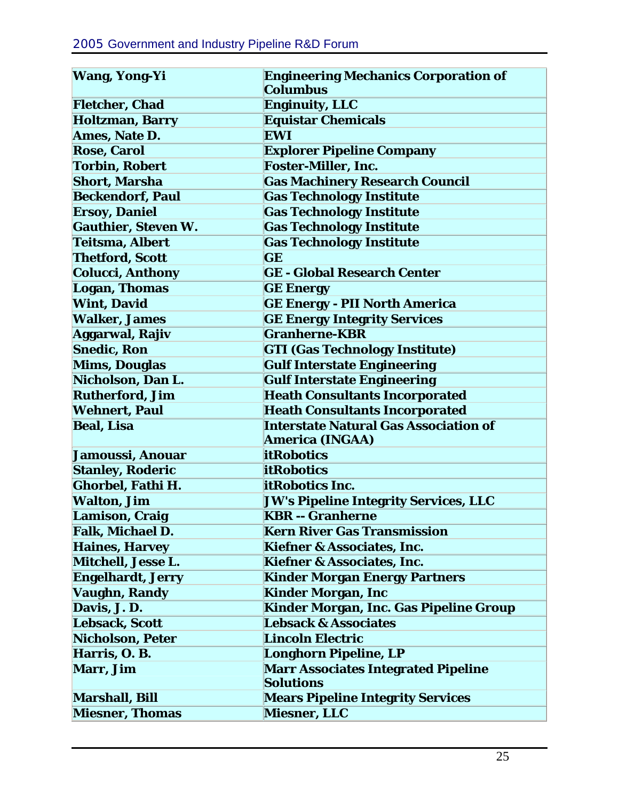| <b>Wang, Yong-Yi</b>       | <b>Engineering Mechanics Corporation of</b><br>Columbus |
|----------------------------|---------------------------------------------------------|
| <b>Fletcher, Chad</b>      | <b>Enginuity, LLC</b>                                   |
| <b>Holtzman, Barry</b>     | <b>Equistar Chemicals</b>                               |
| Ames, Nate D.              | <b>EWI</b>                                              |
| <b>Rose, Carol</b>         | <b>Explorer Pipeline Company</b>                        |
| <b>Torbin, Robert</b>      | <b>Foster-Miller, Inc.</b>                              |
| <b>Short, Marsha</b>       | <b>Gas Machinery Research Council</b>                   |
| <b>Beckendorf, Paul</b>    | <b>Gas Technology Institute</b>                         |
| <b>Ersoy, Daniel</b>       | <b>Gas Technology Institute</b>                         |
| <b>Gauthier, Steven W.</b> | <b>Gas Technology Institute</b>                         |
| Teitsma, Albert            | <b>Gas Technology Institute</b>                         |
| <b>Thetford, Scott</b>     | GE                                                      |
| <b>Colucci, Anthony</b>    | <b>GE - Global Research Center</b>                      |
| Logan, Thomas              | <b>GE Energy</b>                                        |
| <b>Wint, David</b>         | <b>GE Energy - PII North America</b>                    |
| <b>Walker, James</b>       | <b>GE Energy Integrity Services</b>                     |
| Aggarwal, Rajiv            | <b>Granherne-KBR</b>                                    |
| <b>Snedic, Ron</b>         | <b>GTI (Gas Technology Institute)</b>                   |
| <b>Mims, Douglas</b>       | <b>Gulf Interstate Engineering</b>                      |
| Nicholson, Dan L.          | <b>Gulf Interstate Engineering</b>                      |
| <b>Rutherford, Jim</b>     | <b>Heath Consultants Incorporated</b>                   |
| <b>Wehnert, Paul</b>       | <b>Heath Consultants Incorporated</b>                   |
| <b>Beal, Lisa</b>          | <b>Interstate Natural Gas Association of</b>            |
|                            | <b>America (INGAA)</b>                                  |
| Jamoussi, Anouar           | <b>itRobotics</b>                                       |
| <b>Stanley, Roderic</b>    | <b>itRobotics</b>                                       |
| Ghorbel, Fathi H.          | itRobotics Inc.                                         |
| <b>Walton, Jim</b>         | <b>JW's Pipeline Integrity Services, LLC</b>            |
| <b>Lamison, Craig</b>      | <b>KBR -- Granherne</b>                                 |
| Falk, Michael D.           | <b>Kern River Gas Transmission</b>                      |
| <b>Haines, Harvey</b>      | <b>Kiefner &amp; Associates, Inc.</b>                   |
| Mitchell, Jesse L.         | <b>Kiefner &amp; Associates, Inc.</b>                   |
| <b>Engelhardt, Jerry</b>   | <b>Kinder Morgan Energy Partners</b>                    |
| Vaughn, Randy              | <b>Kinder Morgan, Inc</b>                               |
| Davis, J.D.                | Kinder Morgan, Inc. Gas Pipeline Group                  |
| <b>Lebsack, Scott</b>      | <b>Lebsack &amp; Associates</b>                         |
| <b>Nicholson, Peter</b>    | <b>Lincoln Electric</b>                                 |
| Harris, O.B.               | Longhorn Pipeline, LP                                   |
| <b>Marr, Jim</b>           | <b>Marr Associates Integrated Pipeline</b>              |
|                            | <b>Solutions</b>                                        |
| <b>Marshall, Bill</b>      | <b>Mears Pipeline Integrity Services</b>                |
| <b>Miesner, Thomas</b>     | <b>Miesner, LLC</b>                                     |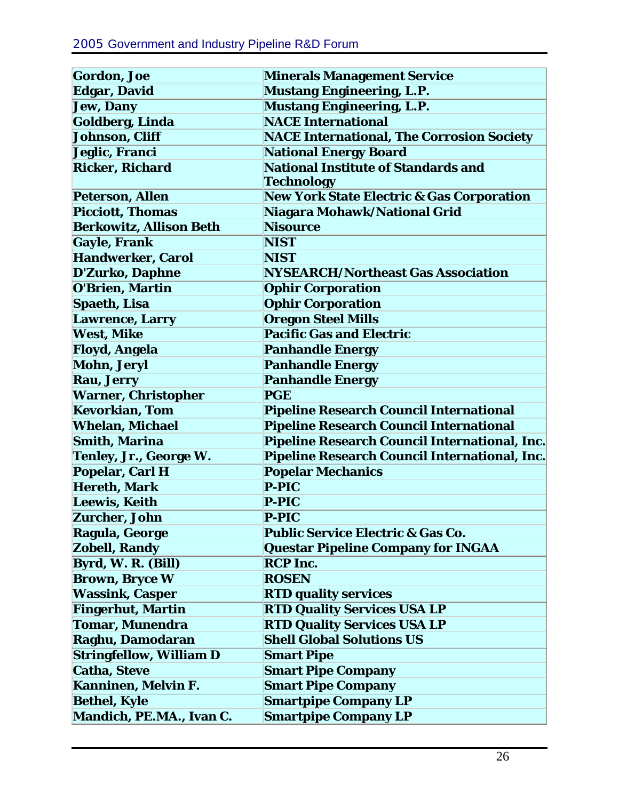| <b>Gordon, Joe</b>             | <b>Minerals Management Service</b>                   |
|--------------------------------|------------------------------------------------------|
| <b>Edgar, David</b>            | <b>Mustang Engineering, L.P.</b>                     |
| Jew, Dany                      | <b>Mustang Engineering, L.P.</b>                     |
| Goldberg, Linda                | <b>NACE International</b>                            |
| Johnson, Cliff                 | <b>NACE International, The Corrosion Society</b>     |
| Jeglic, Franci                 | <b>National Energy Board</b>                         |
| <b>Ricker, Richard</b>         | <b>National Institute of Standards and</b>           |
|                                | Technology                                           |
| <b>Peterson, Allen</b>         | <b>New York State Electric &amp; Gas Corporation</b> |
| <b>Picciott, Thomas</b>        | Niagara Mohawk/National Grid                         |
| <b>Berkowitz, Allison Beth</b> | <b>Nisource</b>                                      |
| <b>Gayle, Frank</b>            | <b>NIST</b>                                          |
| <b>Handwerker, Carol</b>       | <b>NIST</b>                                          |
| <b>D'Zurko, Daphne</b>         | <b>NYSEARCH/Northeast Gas Association</b>            |
| <b>O'Brien, Martin</b>         | <b>Ophir Corporation</b>                             |
| Spaeth, Lisa                   | <b>Ophir Corporation</b>                             |
| <b>Lawrence, Larry</b>         | <b>Oregon Steel Mills</b>                            |
| <b>West, Mike</b>              | <b>Pacific Gas and Electric</b>                      |
| Floyd, Angela                  | <b>Panhandle Energy</b>                              |
| <b>Mohn, Jeryl</b>             | <b>Panhandle Energy</b>                              |
| <b>Rau, Jerry</b>              | <b>Panhandle Energy</b>                              |
| <b>Warner, Christopher</b>     | <b>PGE</b>                                           |
| <b>Kevorkian, Tom</b>          | <b>Pipeline Research Council International</b>       |
| <b>Whelan, Michael</b>         | <b>Pipeline Research Council International</b>       |
| <b>Smith, Marina</b>           | Pipeline Research Council International, Inc.        |
| Tenley, Jr., George W.         | Pipeline Research Council International, Inc.        |
| Popelar, Carl H                | <b>Popelar Mechanics</b>                             |
| <b>Hereth, Mark</b>            | <b>P-PIC</b>                                         |
| <b>Leewis, Keith</b>           | <b>P-PIC</b>                                         |
| <b>Zurcher, John</b>           | <b>P-PIC</b>                                         |
| Ragula, George                 | <b>Public Service Electric &amp; Gas Co.</b>         |
| <b>Zobell, Randy</b>           | <b>Questar Pipeline Company for INGAA</b>            |
| Byrd, W. R. (Bill)             | <b>RCP</b> Inc.                                      |
| <b>Brown, Bryce W</b>          | <b>ROSEN</b>                                         |
| <b>Wassink, Casper</b>         | <b>RTD quality services</b>                          |
| <b>Fingerhut, Martin</b>       | <b>RTD Quality Services USA LP</b>                   |
| <b>Tomar, Munendra</b>         | <b>RTD Quality Services USA LP</b>                   |
| Raghu, Damodaran               | <b>Shell Global Solutions US</b>                     |
| <b>Stringfellow, William D</b> | <b>Smart Pipe</b>                                    |
| <b>Catha, Steve</b>            | <b>Smart Pipe Company</b>                            |
| Kanninen, Melvin F.            | <b>Smart Pipe Company</b>                            |
| <b>Bethel, Kyle</b>            | <b>Smartpipe Company LP</b>                          |
| Mandich, PE.MA., Ivan C.       | <b>Smartpipe Company LP</b>                          |